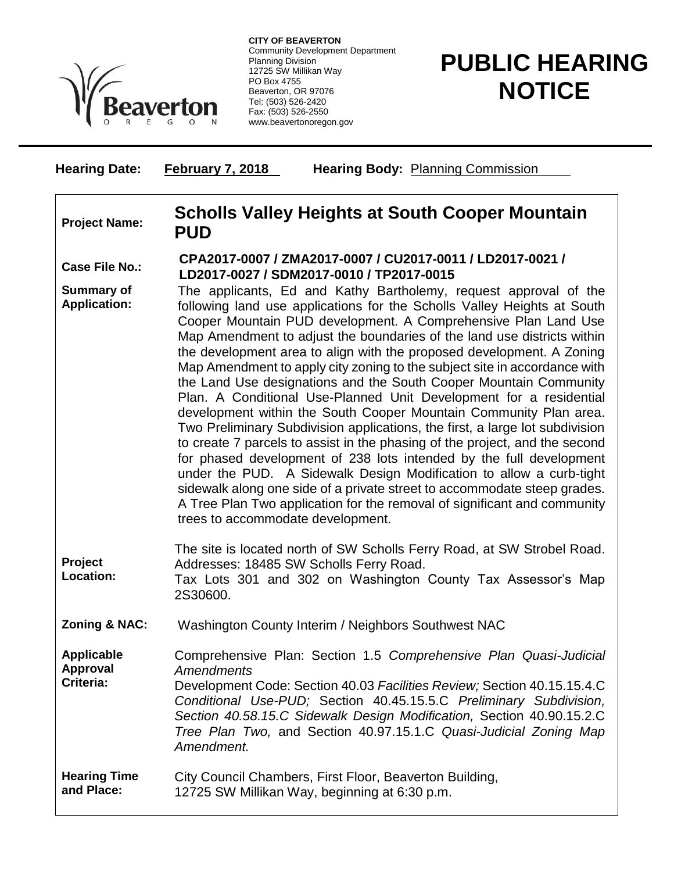

**CITY OF BEAVERTON** Community Development Department Planning Division 12725 SW Millikan Way PO Box 4755 Beaverton, OR 97076 Tel: (503) 526-2420 Fax: (503) 526-2550 www.beavertonoregon.gov

## **PUBLIC HEARING NOTICE**

| <b>Hearing Date:</b>                              | Hearing Body: Planning Commission<br><b>February 7, 2018</b>                                                                                                                                                                                                                                                                                                                                                                                                                                                                                                                                                                                                                                                                                                                                                                                                                                                                                                                                                                                                                                                                                                             |
|---------------------------------------------------|--------------------------------------------------------------------------------------------------------------------------------------------------------------------------------------------------------------------------------------------------------------------------------------------------------------------------------------------------------------------------------------------------------------------------------------------------------------------------------------------------------------------------------------------------------------------------------------------------------------------------------------------------------------------------------------------------------------------------------------------------------------------------------------------------------------------------------------------------------------------------------------------------------------------------------------------------------------------------------------------------------------------------------------------------------------------------------------------------------------------------------------------------------------------------|
| <b>Project Name:</b>                              | Scholls Valley Heights at South Cooper Mountain<br><b>PUD</b>                                                                                                                                                                                                                                                                                                                                                                                                                                                                                                                                                                                                                                                                                                                                                                                                                                                                                                                                                                                                                                                                                                            |
| <b>Case File No.:</b>                             | CPA2017-0007 / ZMA2017-0007 / CU2017-0011 / LD2017-0021 /<br>LD2017-0027 / SDM2017-0010 / TP2017-0015                                                                                                                                                                                                                                                                                                                                                                                                                                                                                                                                                                                                                                                                                                                                                                                                                                                                                                                                                                                                                                                                    |
| <b>Summary of</b><br><b>Application:</b>          | The applicants, Ed and Kathy Bartholemy, request approval of the<br>following land use applications for the Scholls Valley Heights at South<br>Cooper Mountain PUD development. A Comprehensive Plan Land Use<br>Map Amendment to adjust the boundaries of the land use districts within<br>the development area to align with the proposed development. A Zoning<br>Map Amendment to apply city zoning to the subject site in accordance with<br>the Land Use designations and the South Cooper Mountain Community<br>Plan. A Conditional Use-Planned Unit Development for a residential<br>development within the South Cooper Mountain Community Plan area.<br>Two Preliminary Subdivision applications, the first, a large lot subdivision<br>to create 7 parcels to assist in the phasing of the project, and the second<br>for phased development of 238 lots intended by the full development<br>under the PUD. A Sidewalk Design Modification to allow a curb-tight<br>sidewalk along one side of a private street to accommodate steep grades.<br>A Tree Plan Two application for the removal of significant and community<br>trees to accommodate development. |
| Project<br>Location:                              | The site is located north of SW Scholls Ferry Road, at SW Strobel Road.<br>Addresses: 18485 SW Scholls Ferry Road.<br>Tax Lots 301 and 302 on Washington County Tax Assessor's Map<br>2S30600.                                                                                                                                                                                                                                                                                                                                                                                                                                                                                                                                                                                                                                                                                                                                                                                                                                                                                                                                                                           |
| Zoning & NAC:                                     | Washington County Interim / Neighbors Southwest NAC                                                                                                                                                                                                                                                                                                                                                                                                                                                                                                                                                                                                                                                                                                                                                                                                                                                                                                                                                                                                                                                                                                                      |
| <b>Applicable</b><br><b>Approval</b><br>Criteria: | Comprehensive Plan: Section 1.5 Comprehensive Plan Quasi-Judicial<br><b>Amendments</b><br>Development Code: Section 40.03 Facilities Review; Section 40.15.15.4.C<br>Conditional Use-PUD; Section 40.45.15.5.C Preliminary Subdivision,<br>Section 40.58.15.C Sidewalk Design Modification, Section 40.90.15.2.C<br>Tree Plan Two, and Section 40.97.15.1.C Quasi-Judicial Zoning Map<br>Amendment.                                                                                                                                                                                                                                                                                                                                                                                                                                                                                                                                                                                                                                                                                                                                                                      |
| <b>Hearing Time</b><br>and Place:                 | City Council Chambers, First Floor, Beaverton Building,<br>12725 SW Millikan Way, beginning at 6:30 p.m.                                                                                                                                                                                                                                                                                                                                                                                                                                                                                                                                                                                                                                                                                                                                                                                                                                                                                                                                                                                                                                                                 |